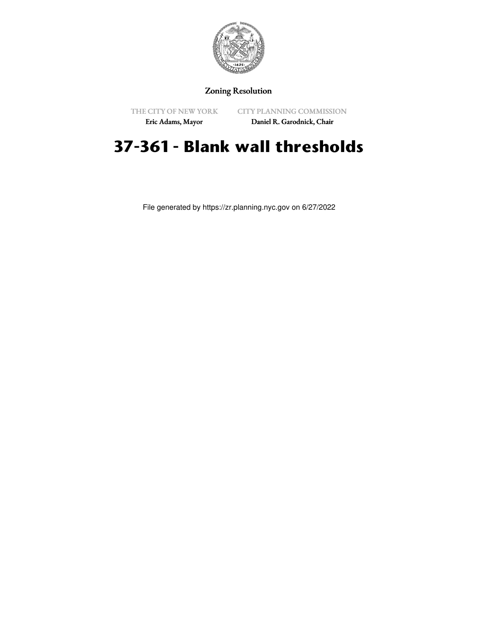

## Zoning Resolution

THE CITY OF NEW YORK Eric Adams, Mayor

CITY PLANNING COMMISSION

Daniel R. Garodnick, Chair

# **37-361 - Blank wall thresholds**

File generated by https://zr.planning.nyc.gov on 6/27/2022